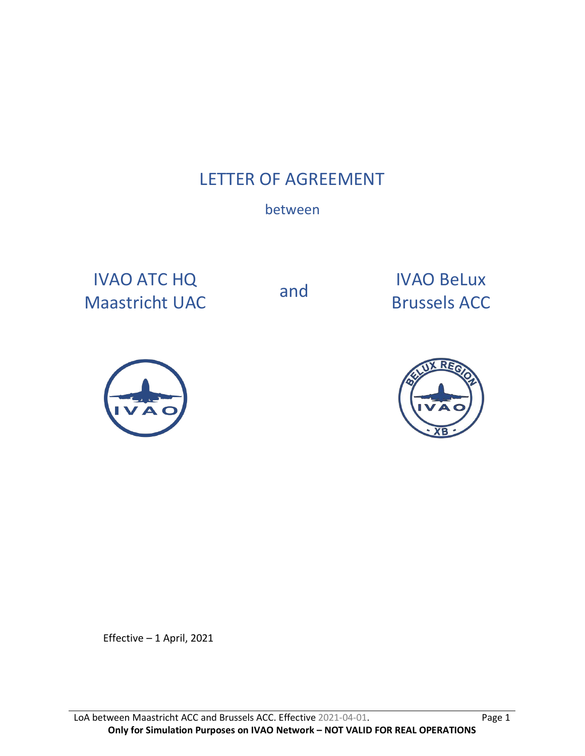# LETTER OF AGREEMENT

# between

IVAO ATC HQ IVAO ATC HQ<br>
Maastricht UAC and Brussels ACC

Brussels ACC





Effective – 1 April, 2021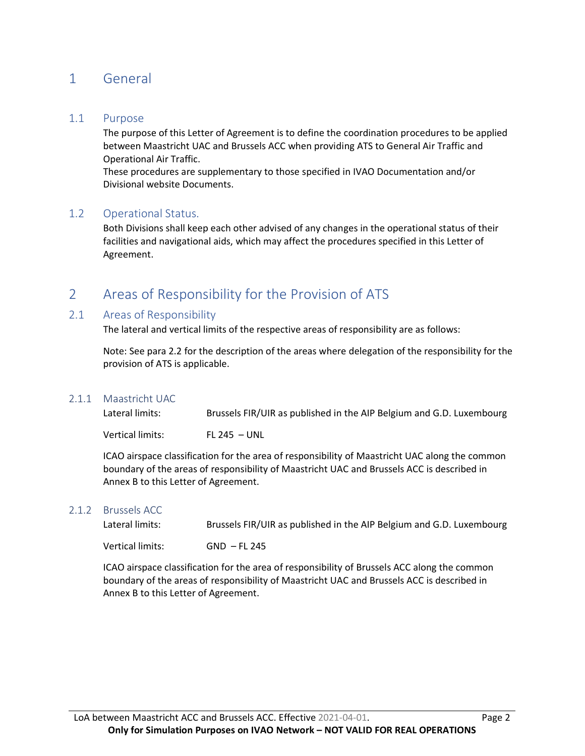# 1 General

### 1.1 Purpose

The purpose of this Letter of Agreement is to define the coordination procedures to be applied between Maastricht UAC and Brussels ACC when providing ATS to General Air Traffic and Operational Air Traffic.

These procedures are supplementary to those specified in IVAO Documentation and/or Divisional website Documents.

### 1.2 Operational Status.

Both Divisions shall keep each other advised of any changes in the operational status of their facilities and navigational aids, which may affect the procedures specified in this Letter of Agreement.

# 2 Areas of Responsibility for the Provision of ATS

### 2.1 Areas of Responsibility

The lateral and vertical limits of the respective areas of responsibility are as follows:

Note: See para 2.2 for the description of the areas where delegation of the responsibility for the provision of ATS is applicable.

### 2.1.1 Maastricht UAC

Lateral limits: Brussels FIR/UIR as published in the AIP Belgium and G.D. Luxembourg

Vertical limits: FL 245 – UNL

ICAO airspace classification for the area of responsibility of Maastricht UAC along the common boundary of the areas of responsibility of Maastricht UAC and Brussels ACC is described in Annex B to this Letter of Agreement.

#### 2.1.2 Brussels ACC

Lateral limits: Brussels FIR/UIR as published in the AIP Belgium and G.D. Luxembourg

Vertical limits: GND – FL 245

ICAO airspace classification for the area of responsibility of Brussels ACC along the common boundary of the areas of responsibility of Maastricht UAC and Brussels ACC is described in Annex B to this Letter of Agreement.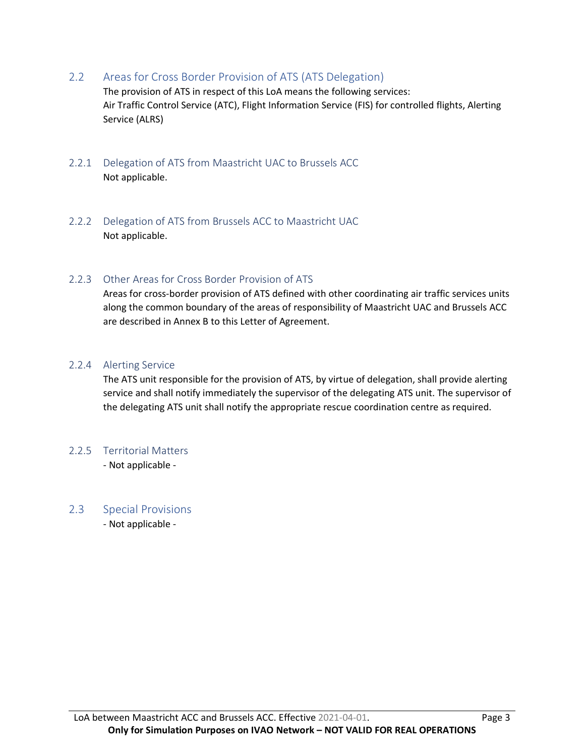2.2 Areas for Cross Border Provision of ATS (ATS Delegation)

The provision of ATS in respect of this LoA means the following services: Air Traffic Control Service (ATC), Flight Information Service (FIS) for controlled flights, Alerting Service (ALRS)

- 2.2.1 Delegation of ATS from Maastricht UAC to Brussels ACC Not applicable.
- 2.2.2 Delegation of ATS from Brussels ACC to Maastricht UAC Not applicable.

## 2.2.3 Other Areas for Cross Border Provision of ATS

Areas for cross-border provision of ATS defined with other coordinating air traffic services units along the common boundary of the areas of responsibility of Maastricht UAC and Brussels ACC are described in Annex B to this Letter of Agreement.

## 2.2.4 Alerting Service

The ATS unit responsible for the provision of ATS, by virtue of delegation, shall provide alerting service and shall notify immediately the supervisor of the delegating ATS unit. The supervisor of the delegating ATS unit shall notify the appropriate rescue coordination centre as required.

# 2.2.5 Territorial Matters

- Not applicable -

# 2.3 Special Provisions

- Not applicable -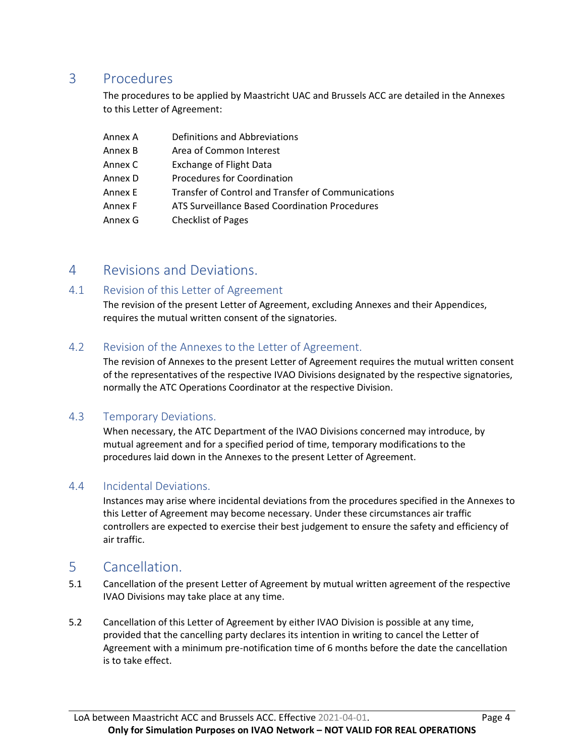# 3 Procedures

The procedures to be applied by Maastricht UAC and Brussels ACC are detailed in the Annexes to this Letter of Agreement:

| Annex A | Definitions and Abbreviations                      |
|---------|----------------------------------------------------|
| Annex B | Area of Common Interest                            |
| Annex C | <b>Exchange of Flight Data</b>                     |
| Annex D | Procedures for Coordination                        |
| Annex E | Transfer of Control and Transfer of Communications |
| Annex F | ATS Surveillance Based Coordination Procedures     |
| Annex G | <b>Checklist of Pages</b>                          |

# 4 Revisions and Deviations.

# 4.1 Revision of this Letter of Agreement

The revision of the present Letter of Agreement, excluding Annexes and their Appendices, requires the mutual written consent of the signatories.

# 4.2 Revision of the Annexes to the Letter of Agreement.

The revision of Annexes to the present Letter of Agreement requires the mutual written consent of the representatives of the respective IVAO Divisions designated by the respective signatories, normally the ATC Operations Coordinator at the respective Division.

# 4.3 Temporary Deviations.

When necessary, the ATC Department of the IVAO Divisions concerned may introduce, by mutual agreement and for a specified period of time, temporary modifications to the procedures laid down in the Annexes to the present Letter of Agreement.

# 4.4 Incidental Deviations.

Instances may arise where incidental deviations from the procedures specified in the Annexes to this Letter of Agreement may become necessary. Under these circumstances air traffic controllers are expected to exercise their best judgement to ensure the safety and efficiency of air traffic.

# 5 Cancellation.

- 5.1 Cancellation of the present Letter of Agreement by mutual written agreement of the respective IVAO Divisions may take place at any time.
- 5.2 Cancellation of this Letter of Agreement by either IVAO Division is possible at any time, provided that the cancelling party declares its intention in writing to cancel the Letter of Agreement with a minimum pre-notification time of 6 months before the date the cancellation is to take effect.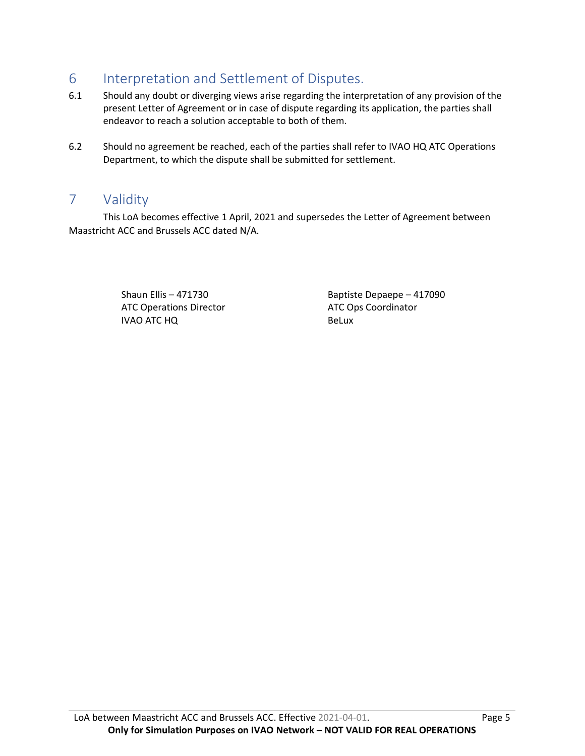# 6 Interpretation and Settlement of Disputes.

- 6.1 Should any doubt or diverging views arise regarding the interpretation of any provision of the present Letter of Agreement or in case of dispute regarding its application, the parties shall endeavor to reach a solution acceptable to both of them.
- 6.2 Should no agreement be reached, each of the parties shall refer to IVAO HQ ATC Operations Department, to which the dispute shall be submitted for settlement.

# 7 Validity

This LoA becomes effective 1 April, 2021 and supersedes the Letter of Agreement between Maastricht ACC and Brussels ACC dated N/A.

> ATC Operations Director IVAO ATC HQ

Shaun Ellis – 471730 Baptiste Depaepe – 417090 ATC Ops Coordinator BeLux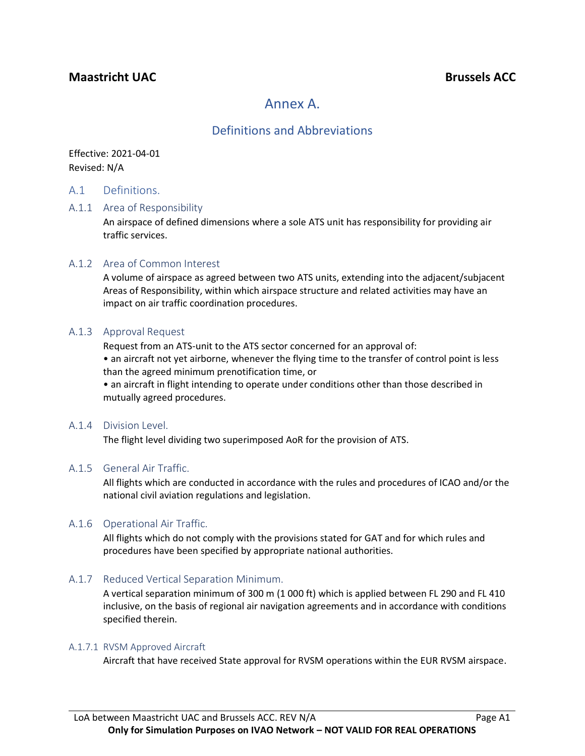# **Maastricht UAC Brussels ACC**

# Annex A.

# Definitions and Abbreviations

Effective: 2021-04-01 Revised: N/A

#### A.1 Definitions.

#### A.1.1 Area of Responsibility

An airspace of defined dimensions where a sole ATS unit has responsibility for providing air traffic services.

#### A.1.2 Area of Common Interest

A volume of airspace as agreed between two ATS units, extending into the adjacent/subjacent Areas of Responsibility, within which airspace structure and related activities may have an impact on air traffic coordination procedures.

#### A.1.3 Approval Request

Request from an ATS-unit to the ATS sector concerned for an approval of:

• an aircraft not yet airborne, whenever the flying time to the transfer of control point is less than the agreed minimum prenotification time, or

• an aircraft in flight intending to operate under conditions other than those described in mutually agreed procedures.

#### A.1.4 Division Level.

The flight level dividing two superimposed AoR for the provision of ATS.

#### A.1.5 General Air Traffic.

All flights which are conducted in accordance with the rules and procedures of ICAO and/or the national civil aviation regulations and legislation.

### A.1.6 Operational Air Traffic.

All flights which do not comply with the provisions stated for GAT and for which rules and procedures have been specified by appropriate national authorities.

### A.1.7 Reduced Vertical Separation Minimum.

A vertical separation minimum of 300 m (1 000 ft) which is applied between FL 290 and FL 410 inclusive, on the basis of regional air navigation agreements and in accordance with conditions specified therein.

#### A.1.7.1 RVSM Approved Aircraft

Aircraft that have received State approval for RVSM operations within the EUR RVSM airspace.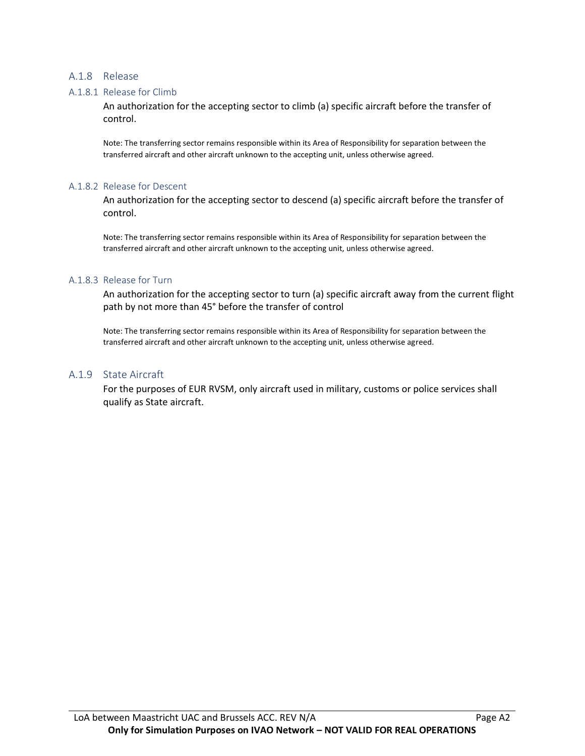#### A.1.8 Release

#### A.1.8.1 Release for Climb

An authorization for the accepting sector to climb (a) specific aircraft before the transfer of control.

Note: The transferring sector remains responsible within its Area of Responsibility for separation between the transferred aircraft and other aircraft unknown to the accepting unit, unless otherwise agreed.

#### A.1.8.2 Release for Descent

An authorization for the accepting sector to descend (a) specific aircraft before the transfer of control.

Note: The transferring sector remains responsible within its Area of Responsibility for separation between the transferred aircraft and other aircraft unknown to the accepting unit, unless otherwise agreed.

#### A.1.8.3 Release for Turn

An authorization for the accepting sector to turn (a) specific aircraft away from the current flight path by not more than 45° before the transfer of control

Note: The transferring sector remains responsible within its Area of Responsibility for separation between the transferred aircraft and other aircraft unknown to the accepting unit, unless otherwise agreed.

#### A.1.9 State Aircraft

For the purposes of EUR RVSM, only aircraft used in military, customs or police services shall qualify as State aircraft.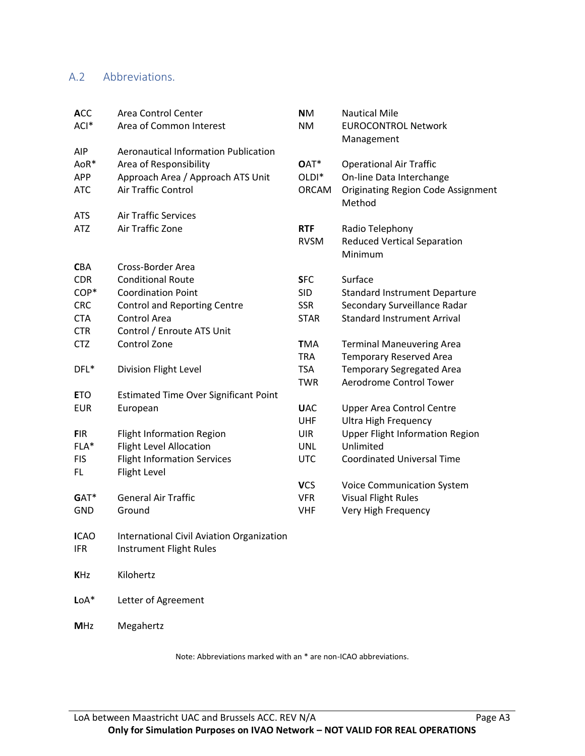# A.2 Abbreviations.

| <b>ACC</b>  | <b>Area Control Center</b>                   | <b>NM</b>         | <b>Nautical Mile</b>                      |
|-------------|----------------------------------------------|-------------------|-------------------------------------------|
| ACI*        | Area of Common Interest                      | <b>NM</b>         | <b>EUROCONTROL Network</b>                |
|             |                                              |                   | Management                                |
| <b>AIP</b>  | <b>Aeronautical Information Publication</b>  |                   |                                           |
| AoR*        | Area of Responsibility                       | OAT*              | <b>Operational Air Traffic</b>            |
| <b>APP</b>  | Approach Area / Approach ATS Unit            | OLDI <sup>*</sup> | On-line Data Interchange                  |
| <b>ATC</b>  | Air Traffic Control                          | <b>ORCAM</b>      | <b>Originating Region Code Assignment</b> |
|             |                                              |                   | Method                                    |
| <b>ATS</b>  | <b>Air Traffic Services</b>                  |                   |                                           |
| <b>ATZ</b>  | Air Traffic Zone                             | <b>RTF</b>        | Radio Telephony                           |
|             |                                              | <b>RVSM</b>       | <b>Reduced Vertical Separation</b>        |
|             |                                              |                   | Minimum                                   |
| <b>CBA</b>  | Cross-Border Area                            |                   |                                           |
| <b>CDR</b>  | <b>Conditional Route</b>                     | <b>SFC</b>        | Surface                                   |
| COP*        | <b>Coordination Point</b>                    | <b>SID</b>        | <b>Standard Instrument Departure</b>      |
| <b>CRC</b>  | <b>Control and Reporting Centre</b>          | <b>SSR</b>        | Secondary Surveillance Radar              |
| <b>CTA</b>  | Control Area                                 | <b>STAR</b>       | <b>Standard Instrument Arrival</b>        |
| <b>CTR</b>  | Control / Enroute ATS Unit                   |                   |                                           |
| <b>CTZ</b>  | Control Zone                                 | <b>TMA</b>        | <b>Terminal Maneuvering Area</b>          |
|             |                                              | <b>TRA</b>        | <b>Temporary Reserved Area</b>            |
| DFL*        | Division Flight Level                        | <b>TSA</b>        | <b>Temporary Segregated Area</b>          |
|             |                                              | <b>TWR</b>        | Aerodrome Control Tower                   |
| <b>ETO</b>  | <b>Estimated Time Over Significant Point</b> |                   |                                           |
| <b>EUR</b>  | European                                     | <b>UAC</b>        | <b>Upper Area Control Centre</b>          |
|             |                                              | <b>UHF</b>        | <b>Ultra High Frequency</b>               |
| <b>FIR</b>  | <b>Flight Information Region</b>             | <b>UIR</b>        | <b>Upper Flight Information Region</b>    |
| $FLA*$      | <b>Flight Level Allocation</b>               | <b>UNL</b>        | Unlimited                                 |
| <b>FIS</b>  | <b>Flight Information Services</b>           | <b>UTC</b>        | <b>Coordinated Universal Time</b>         |
| FL.         | Flight Level                                 |                   |                                           |
|             |                                              | <b>VCS</b>        | <b>Voice Communication System</b>         |
| GAT*        | <b>General Air Traffic</b>                   | <b>VFR</b>        | <b>Visual Flight Rules</b>                |
| <b>GND</b>  | Ground                                       | <b>VHF</b>        | Very High Frequency                       |
|             |                                              |                   |                                           |
| <b>ICAO</b> | International Civil Aviation Organization    |                   |                                           |
| <b>IFR</b>  | Instrument Flight Rules                      |                   |                                           |
|             |                                              |                   |                                           |
| <b>KHz</b>  | Kilohertz                                    |                   |                                           |
|             |                                              |                   |                                           |
| $LoA*$      | Letter of Agreement                          |                   |                                           |
|             |                                              |                   |                                           |
| <b>MHz</b>  | Megahertz                                    |                   |                                           |

Note: Abbreviations marked with an \* are non-ICAO abbreviations.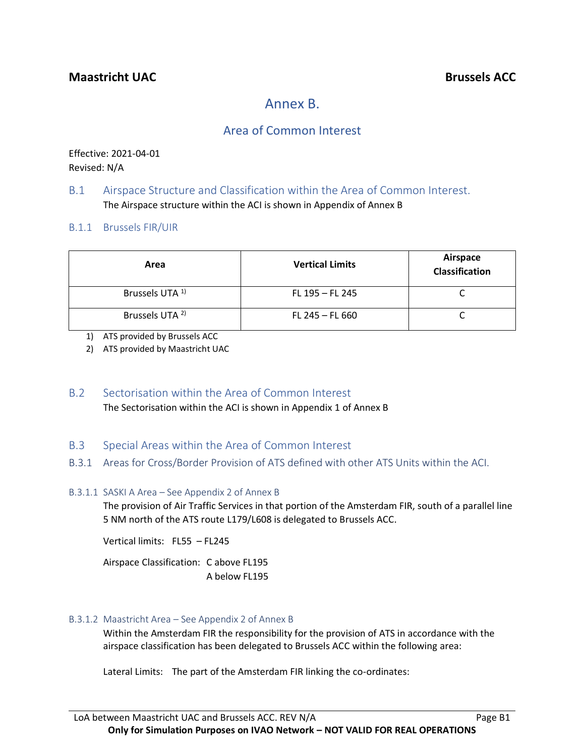# Annex B.

# Area of Common Interest

Effective: 2021-04-01 Revised: N/A

# B.1 Airspace Structure and Classification within the Area of Common Interest. The Airspace structure within the ACI is shown in Appendix of Annex B

## B.1.1 Brussels FIR/UIR

| Area                       | <b>Vertical Limits</b> | Airspace<br>Classification |
|----------------------------|------------------------|----------------------------|
| Brussels UTA <sup>1)</sup> | FL 195 - FL 245        |                            |
| Brussels UTA <sup>2)</sup> | FL 245 $-$ FL 660      |                            |

1) ATS provided by Brussels ACC

2) ATS provided by Maastricht UAC

B.2 Sectorisation within the Area of Common Interest The Sectorisation within the ACI is shown in Appendix 1 of Annex B

# B.3 Special Areas within the Area of Common Interest

B.3.1 Areas for Cross/Border Provision of ATS defined with other ATS Units within the ACI.

### B.3.1.1 SASKI A Area – See Appendix 2 of Annex B

The provision of Air Traffic Services in that portion of the Amsterdam FIR, south of a parallel line 5 NM north of the ATS route L179/L608 is delegated to Brussels ACC.

Vertical limits: FL55 – FL245

Airspace Classification: C above FL195 A below FL195

# B.3.1.2 Maastricht Area – See Appendix 2 of Annex B

Within the Amsterdam FIR the responsibility for the provision of ATS in accordance with the airspace classification has been delegated to Brussels ACC within the following area:

Lateral Limits: The part of the Amsterdam FIR linking the co-ordinates: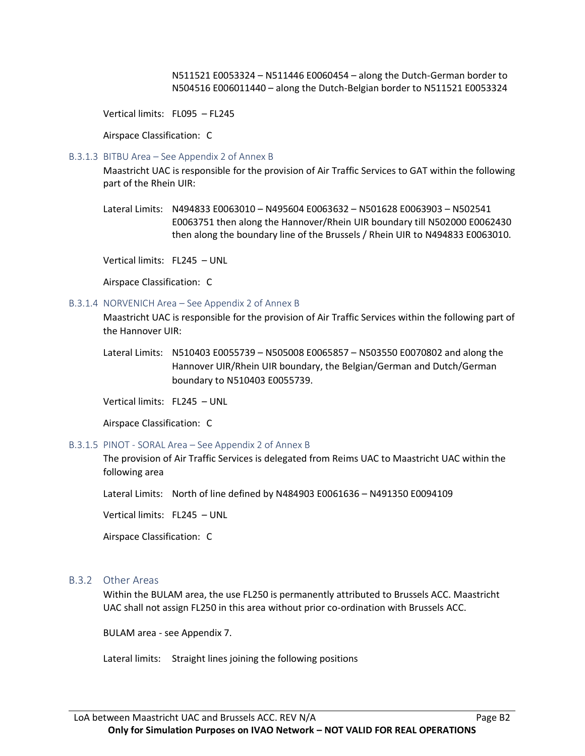N511521 E0053324 – N511446 E0060454 – along the Dutch-German border to N504516 E006011440 – along the Dutch-Belgian border to N511521 E0053324

Vertical limits: FL095 – FL245

Airspace Classification: C

#### B.3.1.3 BITBU Area – See Appendix 2 of Annex B

Maastricht UAC is responsible for the provision of Air Traffic Services to GAT within the following part of the Rhein UIR:

Lateral Limits: N494833 E0063010 – N495604 E0063632 – N501628 E0063903 – N502541 E0063751 then along the Hannover/Rhein UIR boundary till N502000 E0062430 then along the boundary line of the Brussels / Rhein UIR to N494833 E0063010.

Vertical limits: FL245 – UNL

Airspace Classification: C

#### B.3.1.4 NORVENICH Area – See Appendix 2 of Annex B

Maastricht UAC is responsible for the provision of Air Traffic Services within the following part of the Hannover UIR:

Lateral Limits: N510403 E0055739 – N505008 E0065857 – N503550 E0070802 and along the Hannover UIR/Rhein UIR boundary, the Belgian/German and Dutch/German boundary to N510403 E0055739.

Vertical limits: FL245 – UNL

Airspace Classification: C

#### B.3.1.5 PINOT - SORAL Area – See Appendix 2 of Annex B

The provision of Air Traffic Services is delegated from Reims UAC to Maastricht UAC within the following area

Lateral Limits: North of line defined by N484903 E0061636 – N491350 E0094109

Vertical limits: FL245 – UNL

Airspace Classification: C

#### B.3.2 Other Areas

Within the BULAM area, the use FL250 is permanently attributed to Brussels ACC. Maastricht UAC shall not assign FL250 in this area without prior co-ordination with Brussels ACC.

BULAM area - see Appendix 7.

Lateral limits: Straight lines joining the following positions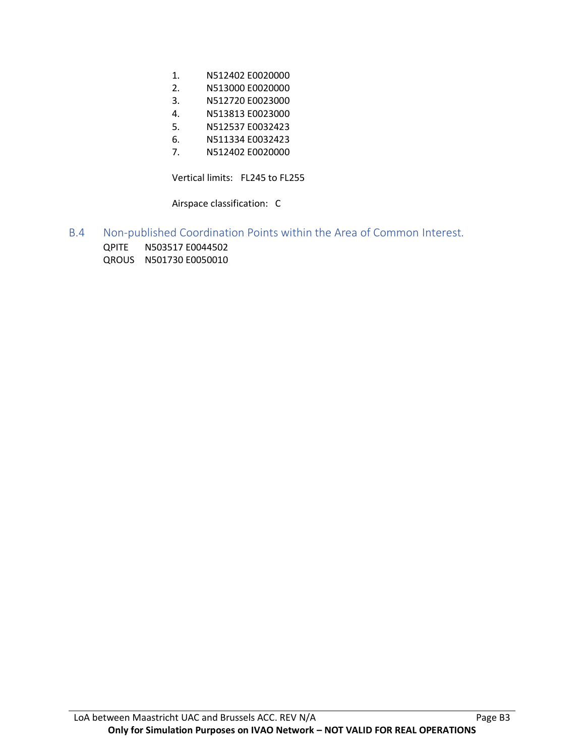- 1. N512402 E0020000
- 2. N513000 E0020000
- 3. N512720 E0023000
- 4. N513813 E0023000
- 5. N512537 E0032423
- 6. N511334 E0032423
- 7. N512402 E0020000

Vertical limits: FL245 to FL255

Airspace classification: C

- B.4 Non-published Coordination Points within the Area of Common Interest.
	- QPITE N503517 E0044502 QROUS N501730 E0050010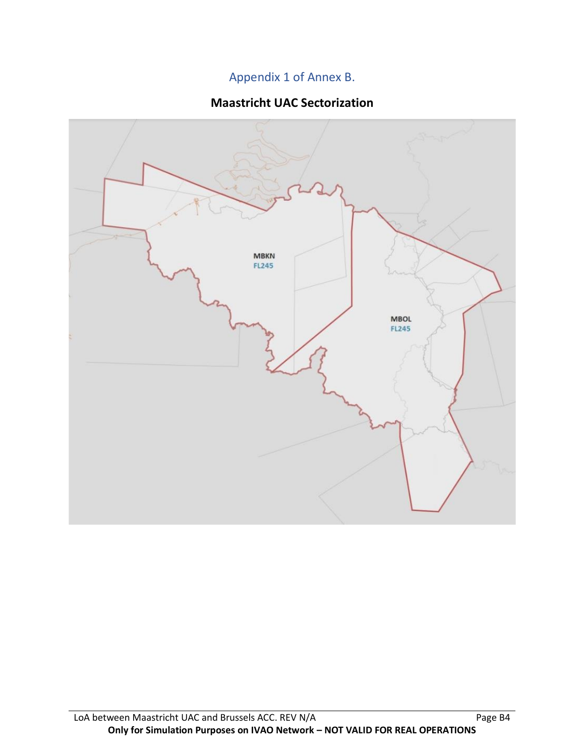# Appendix 1 of Annex B.

# **Maastricht UAC Sectorization**

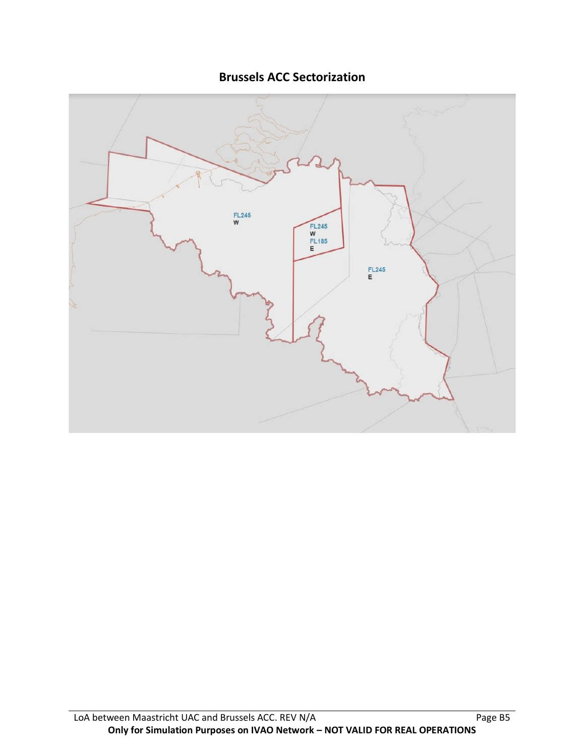**Brussels ACC Sectorization**

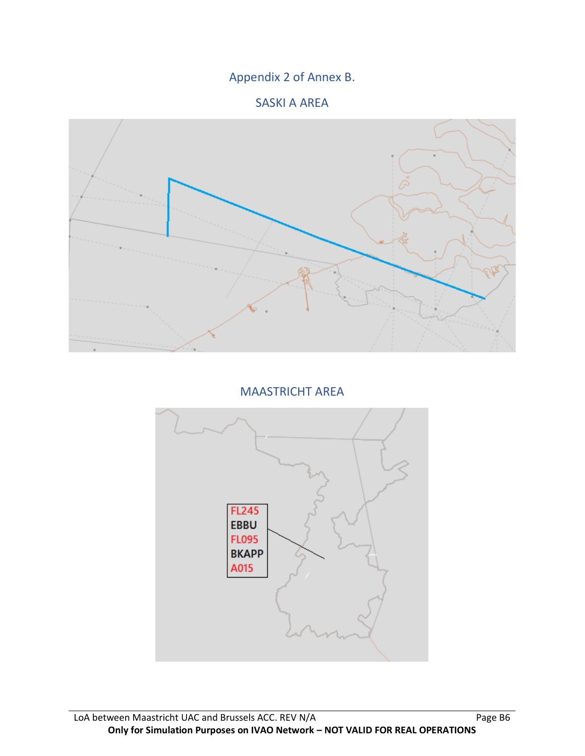# Appendix 2 of Annex B.

# SASKI A AREA



MAASTRICHT AREA

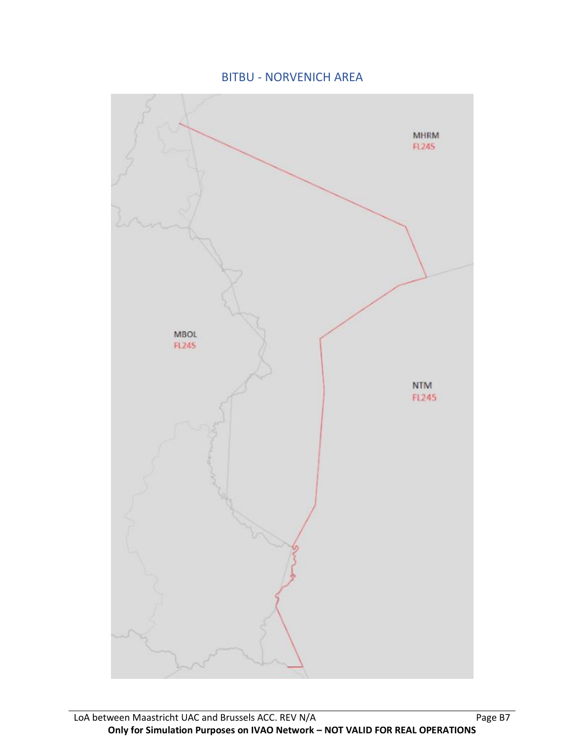BITBU - NORVENICH AREA

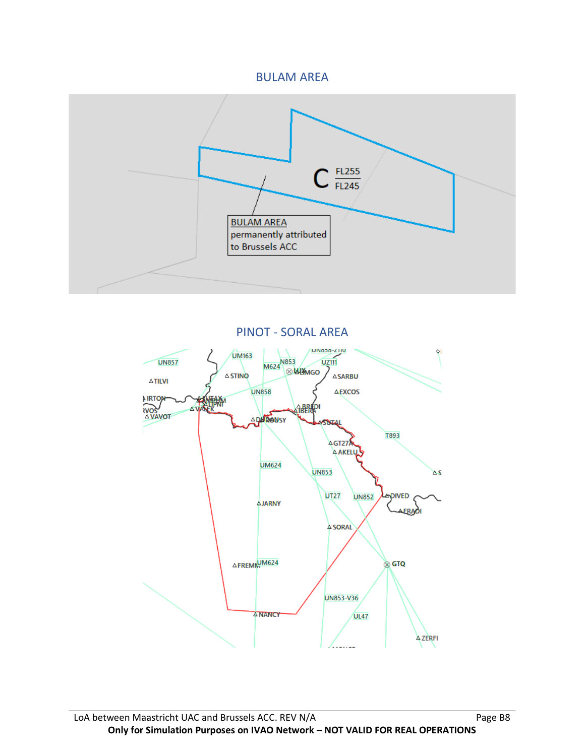# BULAM AREA



PINOT - SORAL AREA

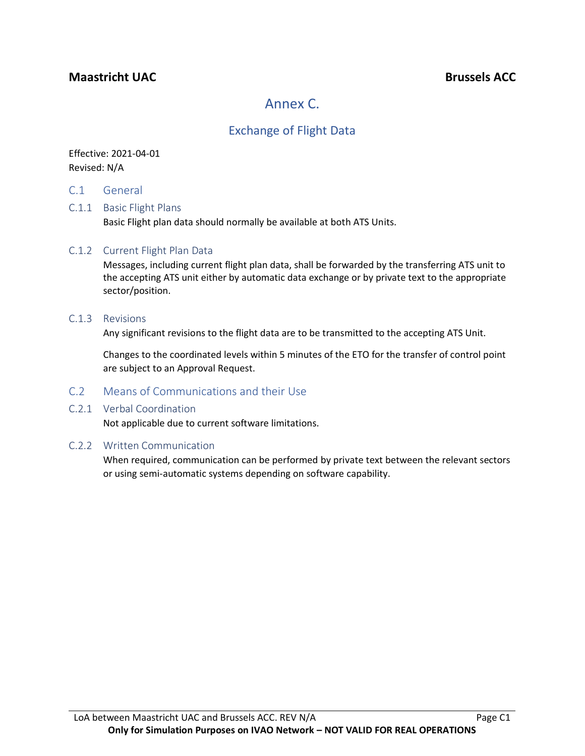# **Maastricht UAC Brussels ACC**

# Annex C.

# Exchange of Flight Data

# Effective: 2021-04-01 Revised: N/A

C.1 General

## C.1.1 Basic Flight Plans

Basic Flight plan data should normally be available at both ATS Units.

### C.1.2 Current Flight Plan Data

Messages, including current flight plan data, shall be forwarded by the transferring ATS unit to the accepting ATS unit either by automatic data exchange or by private text to the appropriate sector/position.

#### C.1.3 Revisions

Any significant revisions to the flight data are to be transmitted to the accepting ATS Unit.

Changes to the coordinated levels within 5 minutes of the ETO for the transfer of control point are subject to an Approval Request.

### C.2 Means of Communications and their Use

### C.2.1 Verbal Coordination

Not applicable due to current software limitations.

### C.2.2 Written Communication

When required, communication can be performed by private text between the relevant sectors or using semi-automatic systems depending on software capability.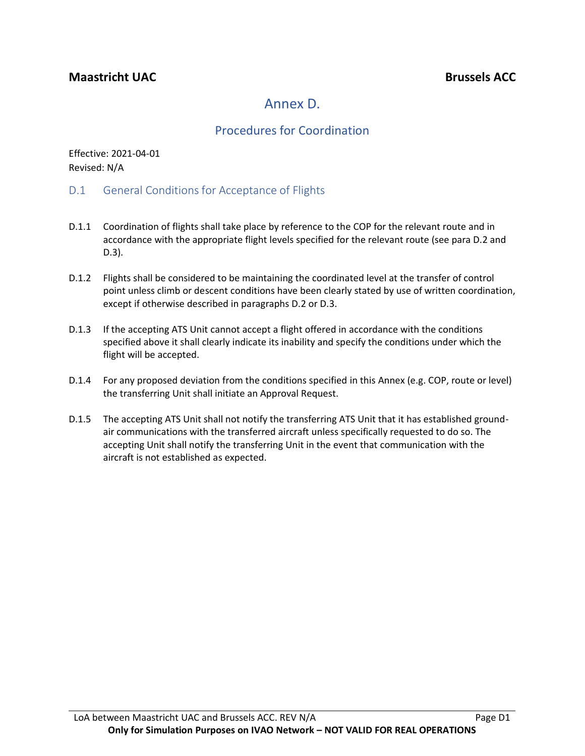# Annex D.

# Procedures for Coordination

Effective: 2021-04-01 Revised: N/A

- D.1 General Conditions for Acceptance of Flights
- D.1.1 Coordination of flights shall take place by reference to the COP for the relevant route and in accordance with the appropriate flight levels specified for the relevant route (see para D.2 and D.3).
- D.1.2 Flights shall be considered to be maintaining the coordinated level at the transfer of control point unless climb or descent conditions have been clearly stated by use of written coordination, except if otherwise described in paragraphs D.2 or D.3.
- D.1.3 If the accepting ATS Unit cannot accept a flight offered in accordance with the conditions specified above it shall clearly indicate its inability and specify the conditions under which the flight will be accepted.
- D.1.4 For any proposed deviation from the conditions specified in this Annex (e.g. COP, route or level) the transferring Unit shall initiate an Approval Request.
- D.1.5 The accepting ATS Unit shall not notify the transferring ATS Unit that it has established groundair communications with the transferred aircraft unless specifically requested to do so. The accepting Unit shall notify the transferring Unit in the event that communication with the aircraft is not established as expected.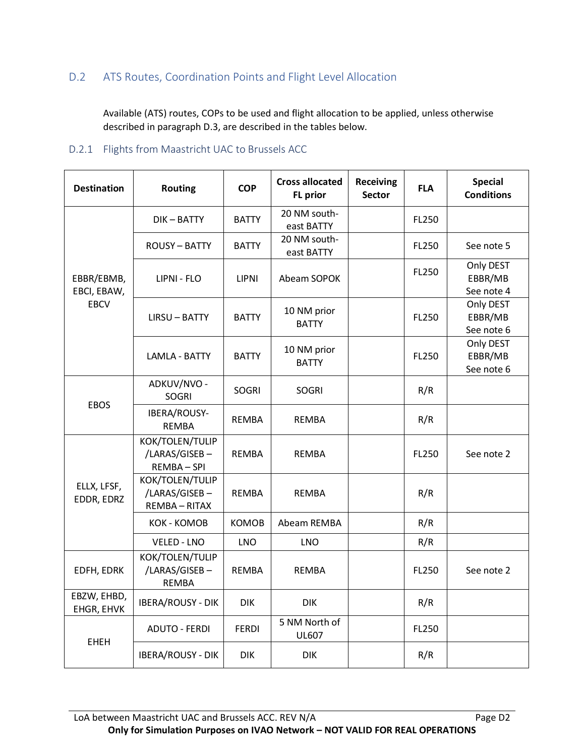# D.2 ATS Routes, Coordination Points and Flight Level Allocation

Available (ATS) routes, COPs to be used and flight allocation to be applied, unless otherwise described in paragraph D.3, are described in the tables below.

# D.2.1 Flights from Maastricht UAC to Brussels ACC

| <b>Destination</b>        | <b>Routing</b>                                    | <b>COP</b>   | <b>Cross allocated</b><br><b>FL</b> prior | <b>Receiving</b><br><b>Sector</b> | <b>FLA</b> | <b>Special</b><br><b>Conditions</b> |
|---------------------------|---------------------------------------------------|--------------|-------------------------------------------|-----------------------------------|------------|-------------------------------------|
|                           | DIK-BATTY                                         | <b>BATTY</b> | 20 NM south-<br>east BATTY                |                                   | FL250      |                                     |
|                           | <b>ROUSY-BATTY</b>                                | <b>BATTY</b> | 20 NM south-<br>east BATTY                |                                   | FL250      | See note 5                          |
| EBBR/EBMB,<br>EBCI, EBAW, | LIPNI - FLO                                       | <b>LIPNI</b> | Abeam SOPOK                               |                                   | FL250      | Only DEST<br>EBBR/MB<br>See note 4  |
| <b>EBCV</b>               | <b>LIRSU-BATTY</b>                                | <b>BATTY</b> | 10 NM prior<br><b>BATTY</b>               |                                   | FL250      | Only DEST<br>EBBR/MB<br>See note 6  |
|                           | <b>LAMLA - BATTY</b>                              | <b>BATTY</b> | 10 NM prior<br><b>BATTY</b>               |                                   | FL250      | Only DEST<br>EBBR/MB<br>See note 6  |
|                           | ADKUV/NVO -<br><b>SOGRI</b>                       | <b>SOGRI</b> | <b>SOGRI</b>                              |                                   | R/R        |                                     |
| <b>EBOS</b>               | IBERA/ROUSY-<br><b>REMBA</b>                      | <b>REMBA</b> | <b>REMBA</b>                              |                                   | R/R        |                                     |
|                           | KOK/TOLEN/TULIP<br>/LARAS/GISEB-<br>REMBA-SPI     | <b>REMBA</b> | <b>REMBA</b>                              |                                   | FL250      | See note 2                          |
| ELLX, LFSF,<br>EDDR, EDRZ | KOK/TOLEN/TULIP<br>/LARAS/GISEB-<br>REMBA - RITAX | <b>REMBA</b> | <b>REMBA</b>                              |                                   | R/R        |                                     |
|                           | <b>KOK - KOMOB</b>                                | <b>KOMOB</b> | Abeam REMBA                               |                                   | R/R        |                                     |
|                           | <b>VELED - LNO</b>                                | <b>LNO</b>   | <b>LNO</b>                                |                                   | R/R        |                                     |
| EDFH, EDRK                | KOK/TOLEN/TULIP<br>/LARAS/GISEB-<br><b>REMBA</b>  | REMBA        | <b>REMBA</b>                              |                                   | FL250      | See note 2                          |
| EBZW, EHBD,<br>EHGR, EHVK | <b>IBERA/ROUSY - DIK</b>                          | <b>DIK</b>   | <b>DIK</b>                                |                                   | R/R        |                                     |
| <b>EHEH</b>               | <b>ADUTO - FERDI</b>                              | <b>FERDI</b> | 5 NM North of<br><b>UL607</b>             |                                   | FL250      |                                     |
|                           | <b>IBERA/ROUSY - DIK</b>                          | <b>DIK</b>   | <b>DIK</b>                                |                                   | R/R        |                                     |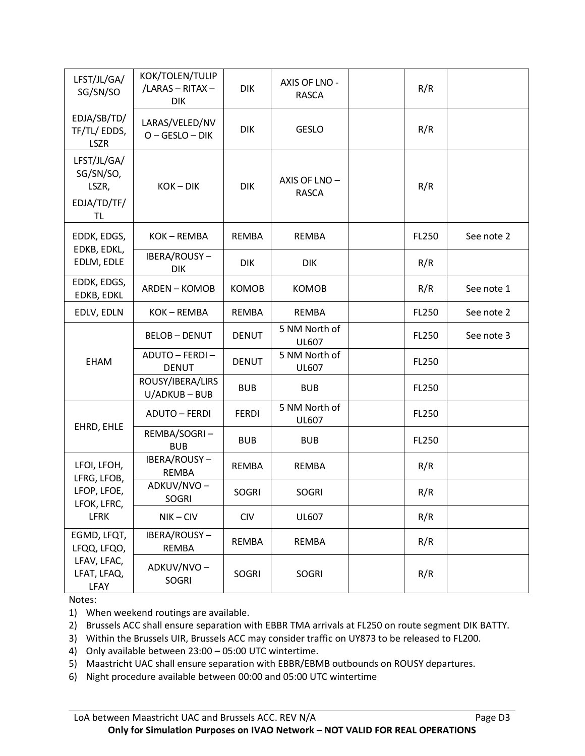| LFST/JL/GA/<br>SG/SN/SO                          | KOK/TOLEN/TULIP<br>/LARAS - RITAX -<br><b>DIK</b> | <b>DIK</b>   | AXIS OF LNO -<br><b>RASCA</b> | R/R   |            |
|--------------------------------------------------|---------------------------------------------------|--------------|-------------------------------|-------|------------|
| EDJA/SB/TD/<br>TF/TL/EDDS,<br><b>LSZR</b>        | LARAS/VELED/NV<br>$O - GESLO - DIK$               | <b>DIK</b>   | <b>GESLO</b>                  | R/R   |            |
| LFST/JL/GA/<br>SG/SN/SO,<br>LSZR,<br>EDJA/TD/TF/ | $KOK - DIK$                                       | <b>DIK</b>   | AXIS OF LNO -<br><b>RASCA</b> | R/R   |            |
| <b>TL</b>                                        |                                                   |              |                               |       |            |
| EDDK, EDGS,<br>EDKB, EDKL,                       | KOK-REMBA                                         | <b>REMBA</b> | REMBA                         | FL250 | See note 2 |
| EDLM, EDLE                                       | IBERA/ROUSY-<br><b>DIK</b>                        | <b>DIK</b>   | <b>DIK</b>                    | R/R   |            |
| EDDK, EDGS,<br>EDKB, EDKL                        | <b>ARDEN-KOMOB</b>                                | <b>KOMOB</b> | <b>KOMOB</b>                  | R/R   | See note 1 |
| EDLV, EDLN                                       | KOK-REMBA                                         | REMBA        | REMBA                         | FL250 | See note 2 |
|                                                  | <b>BELOB-DENUT</b>                                | <b>DENUT</b> | 5 NM North of<br><b>UL607</b> | FL250 | See note 3 |
| <b>EHAM</b>                                      | ADUTO - FERDI -<br><b>DENUT</b>                   | <b>DENUT</b> | 5 NM North of<br><b>UL607</b> | FL250 |            |
|                                                  | ROUSY/IBERA/LIRS<br>U/ADKUB-BUB                   | <b>BUB</b>   | <b>BUB</b>                    | FL250 |            |
| EHRD, EHLE                                       | <b>ADUTO - FERDI</b>                              | <b>FERDI</b> | 5 NM North of<br><b>UL607</b> | FL250 |            |
|                                                  | REMBA/SOGRI-<br><b>BUB</b>                        | <b>BUB</b>   | <b>BUB</b>                    | FL250 |            |
| LFOI, LFOH,<br>LFRG, LFOB,                       | IBERA/ROUSY-<br><b>REMBA</b>                      | REMBA        | REMBA                         | R/R   |            |
| LFOP, LFOE,<br>LFOK, LFRC,                       | ADKUV/NVO-<br><b>SOGRI</b>                        | <b>SOGRI</b> | <b>SOGRI</b>                  | R/R   |            |
| <b>LFRK</b>                                      | $NIK - CIV$                                       | <b>CIV</b>   | <b>UL607</b>                  | R/R   |            |
| EGMD, LFQT,<br>LFQQ, LFQO,                       | IBERA/ROUSY-<br><b>REMBA</b>                      | <b>REMBA</b> | <b>REMBA</b>                  | R/R   |            |
| LFAV, LFAC,<br>LFAT, LFAQ,<br>LFAY               | ADKUV/NVO-<br>SOGRI                               | SOGRI        | <b>SOGRI</b>                  | R/R   |            |

Notes:

1) When weekend routings are available.

2) Brussels ACC shall ensure separation with EBBR TMA arrivals at FL250 on route segment DIK BATTY.

3) Within the Brussels UIR, Brussels ACC may consider traffic on UY873 to be released to FL200.

4) Only available between 23:00 – 05:00 UTC wintertime.

5) Maastricht UAC shall ensure separation with EBBR/EBMB outbounds on ROUSY departures.

6) Night procedure available between 00:00 and 05:00 UTC wintertime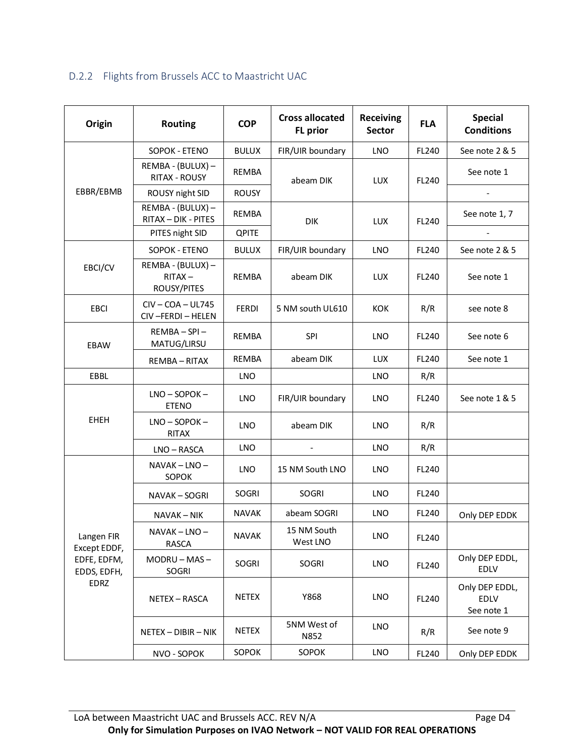# D.2.2 Flights from Brussels ACC to Maastricht UAC

| Origin                                    | <b>Routing</b>                                | <b>COP</b>   | <b>Cross allocated</b><br><b>FL</b> prior | <b>Receiving</b><br><b>Sector</b> | <b>FLA</b> | <b>Special</b><br><b>Conditions</b>  |
|-------------------------------------------|-----------------------------------------------|--------------|-------------------------------------------|-----------------------------------|------------|--------------------------------------|
|                                           | SOPOK - ETENO                                 | <b>BULUX</b> | FIR/UIR boundary                          | <b>LNO</b>                        | FL240      | See note 2 & 5                       |
|                                           | REMBA - (BULUX) -<br><b>RITAX - ROUSY</b>     | REMBA        | abeam DIK                                 | LUX                               | FL240      | See note 1                           |
| EBBR/EBMB                                 | ROUSY night SID                               | <b>ROUSY</b> |                                           |                                   |            |                                      |
|                                           | REMBA - (BULUX) -<br>RITAX - DIK - PITES      | REMBA        | <b>DIK</b>                                | LUX                               | FL240      | See note 1, 7                        |
|                                           | PITES night SID                               | <b>QPITE</b> |                                           |                                   |            |                                      |
|                                           | SOPOK - ETENO                                 | <b>BULUX</b> | FIR/UIR boundary                          | <b>LNO</b>                        | FL240      | See note 2 & 5                       |
| EBCI/CV                                   | REMBA - (BULUX) -<br>$RITAX -$<br>ROUSY/PITES | <b>REMBA</b> | abeam DIK                                 | <b>LUX</b>                        | FL240      | See note 1                           |
| <b>EBCI</b>                               | $CIV - COA - UL745$<br>CIV-FERDI-HELEN        | <b>FERDI</b> | 5 NM south UL610                          | <b>KOK</b>                        | R/R        | see note 8                           |
| EBAW                                      | REMBA-SPI-<br>MATUG/LIRSU                     | <b>REMBA</b> | <b>SPI</b>                                | <b>LNO</b>                        | FL240      | See note 6                           |
|                                           | REMBA-RITAX                                   | <b>REMBA</b> | abeam DIK                                 | <b>LUX</b>                        | FL240      | See note 1                           |
| EBBL                                      |                                               | <b>LNO</b>   |                                           | <b>LNO</b>                        | R/R        |                                      |
|                                           | $LNO - SOPOK -$<br><b>ETENO</b>               | <b>LNO</b>   | FIR/UIR boundary                          | <b>LNO</b>                        | FL240      | See note 1 & 5                       |
| <b>EHEH</b>                               | $LNO - SOPOK -$<br><b>RITAX</b>               | <b>LNO</b>   | abeam DIK                                 | <b>LNO</b>                        | R/R        |                                      |
|                                           | LNO - RASCA                                   | <b>LNO</b>   |                                           | <b>LNO</b>                        | R/R        |                                      |
|                                           | NAVAK - LNO -<br>SOPOK                        | <b>LNO</b>   | 15 NM South LNO                           | <b>LNO</b>                        | FL240      |                                      |
|                                           | NAVAK – SOGRI                                 | <b>SOGRI</b> | SOGRI                                     | <b>LNO</b>                        | FL240      |                                      |
|                                           | NAVAK – NIK                                   | <b>NAVAK</b> | abeam SOGRI                               | <b>LNO</b>                        | FL240      | Only DEP EDDK                        |
| Langen FIR<br>Except EDDF,                | NAVAK-LNO-<br>RASCA                           | <b>NAVAK</b> | 15 NM South<br>West LNO                   | <b>LNO</b>                        | FL240      |                                      |
| EDFE, EDFM,<br>EDDS, EDFH,<br><b>EDRZ</b> | $MODRU-MAS -$<br>SOGRI                        | SOGRI        | SOGRI                                     | LNO                               | FL240      | Only DEP EDDL,<br>EDLV               |
|                                           | NETEX - RASCA                                 | NETEX        | Y868                                      | LNO                               | FL240      | Only DEP EDDL,<br>EDLV<br>See note 1 |
|                                           | NETEX - DIBIR - NIK                           | <b>NETEX</b> | 5NM West of<br>N852                       | <b>LNO</b>                        | R/R        | See note 9                           |
|                                           | NVO - SOPOK                                   | SOPOK        | SOPOK                                     | LNO                               | FL240      | Only DEP EDDK                        |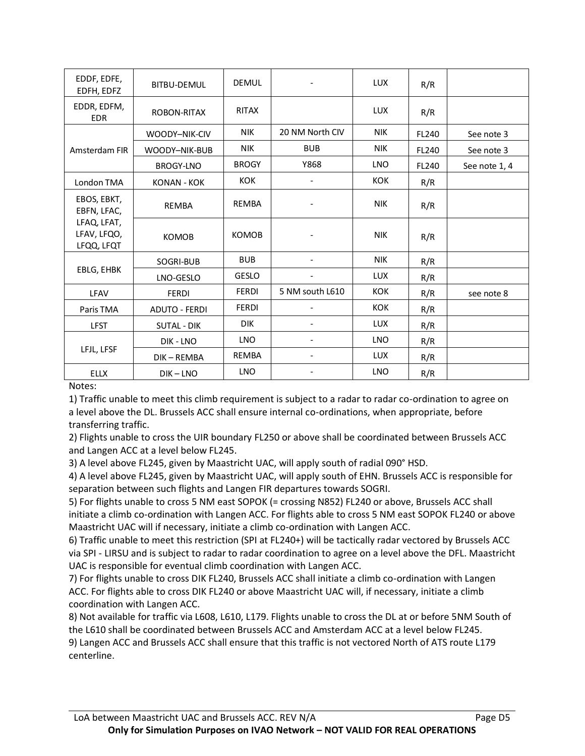| EDDF, EDFE,<br>EDFH, EDFZ                | <b>BITBU-DEMUL</b>   | <b>DEMUL</b> |                 | <b>LUX</b> | R/R   |               |
|------------------------------------------|----------------------|--------------|-----------------|------------|-------|---------------|
| EDDR, EDFM,<br><b>EDR</b>                | <b>ROBON-RITAX</b>   | <b>RITAX</b> |                 | <b>LUX</b> | R/R   |               |
|                                          | WOODY-NIK-CIV        | <b>NIK</b>   | 20 NM North CIV | <b>NIK</b> | FL240 | See note 3    |
| Amsterdam FIR                            | WOODY-NIK-BUB        | <b>NIK</b>   | <b>BUB</b>      | <b>NIK</b> | FL240 | See note 3    |
|                                          | <b>BROGY-LNO</b>     | <b>BROGY</b> | Y868            | <b>LNO</b> | FL240 | See note 1, 4 |
| London TMA                               | <b>KONAN - KOK</b>   | <b>KOK</b>   |                 | <b>KOK</b> | R/R   |               |
| EBOS, EBKT,<br>EBFN, LFAC,               | <b>REMBA</b>         | <b>REMBA</b> |                 | <b>NIK</b> | R/R   |               |
| LFAQ, LFAT,<br>LFAV, LFQO,<br>LFQQ, LFQT | <b>KOMOB</b>         | <b>KOMOB</b> |                 | <b>NIK</b> | R/R   |               |
|                                          | SOGRI-BUB            | <b>BUB</b>   |                 | <b>NIK</b> | R/R   |               |
| EBLG, EHBK                               | LNO-GESLO            | <b>GESLO</b> |                 | <b>LUX</b> | R/R   |               |
| LFAV                                     | <b>FERDI</b>         | <b>FERDI</b> | 5 NM south L610 | KOK        | R/R   | see note 8    |
| Paris TMA                                | <b>ADUTO - FERDI</b> | <b>FERDI</b> |                 | KOK        | R/R   |               |
| <b>LFST</b>                              | <b>SUTAL - DIK</b>   | <b>DIK</b>   |                 | <b>LUX</b> | R/R   |               |
|                                          | DIK - LNO            | <b>LNO</b>   |                 | <b>LNO</b> | R/R   |               |
| LFJL, LFSF                               | DIK-REMBA            | <b>REMBA</b> |                 | <b>LUX</b> | R/R   |               |
| <b>ELLX</b>                              | $DIK - LNO$          | <b>LNO</b>   |                 | <b>LNO</b> | R/R   |               |

Notes:

1) Traffic unable to meet this climb requirement is subject to a radar to radar co-ordination to agree on a level above the DL. Brussels ACC shall ensure internal co-ordinations, when appropriate, before transferring traffic.

2) Flights unable to cross the UIR boundary FL250 or above shall be coordinated between Brussels ACC and Langen ACC at a level below FL245.

3) A level above FL245, given by Maastricht UAC, will apply south of radial 090° HSD.

4) A level above FL245, given by Maastricht UAC, will apply south of EHN. Brussels ACC is responsible for separation between such flights and Langen FIR departures towards SOGRI.

5) For flights unable to cross 5 NM east SOPOK (= crossing N852) FL240 or above, Brussels ACC shall initiate a climb co-ordination with Langen ACC. For flights able to cross 5 NM east SOPOK FL240 or above Maastricht UAC will if necessary, initiate a climb co-ordination with Langen ACC.

6) Traffic unable to meet this restriction (SPI at FL240+) will be tactically radar vectored by Brussels ACC via SPI - LIRSU and is subject to radar to radar coordination to agree on a level above the DFL. Maastricht UAC is responsible for eventual climb coordination with Langen ACC.

7) For flights unable to cross DIK FL240, Brussels ACC shall initiate a climb co-ordination with Langen ACC. For flights able to cross DIK FL240 or above Maastricht UAC will, if necessary, initiate a climb coordination with Langen ACC.

8) Not available for traffic via L608, L610, L179. Flights unable to cross the DL at or before 5NM South of the L610 shall be coordinated between Brussels ACC and Amsterdam ACC at a level below FL245. 9) Langen ACC and Brussels ACC shall ensure that this traffic is not vectored North of ATS route L179 centerline.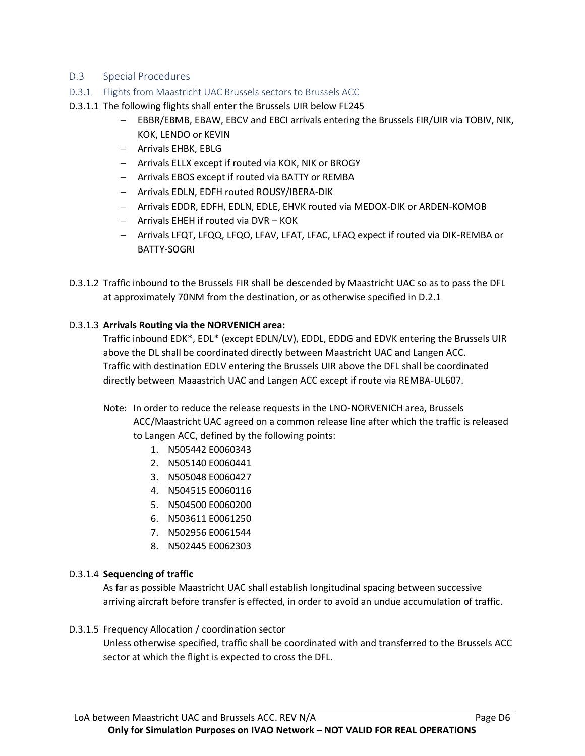# D.3 Special Procedures

- D.3.1 Flights from Maastricht UAC Brussels sectors to Brussels ACC
- D.3.1.1 The following flights shall enter the Brussels UIR below FL245
	- − EBBR/EBMB, EBAW, EBCV and EBCI arrivals entering the Brussels FIR/UIR via TOBIV, NIK, KOK, LENDO or KEVIN
	- − Arrivals EHBK, EBLG
	- − Arrivals ELLX except if routed via KOK, NIK or BROGY
	- − Arrivals EBOS except if routed via BATTY or REMBA
	- − Arrivals EDLN, EDFH routed ROUSY/IBERA-DIK
	- − Arrivals EDDR, EDFH, EDLN, EDLE, EHVK routed via MEDOX-DIK or ARDEN-KOMOB
	- − Arrivals EHEH if routed via DVR KOK
	- − Arrivals LFQT, LFQQ, LFQO, LFAV, LFAT, LFAC, LFAQ expect if routed via DIK-REMBA or BATTY-SOGRI
- D.3.1.2 Traffic inbound to the Brussels FIR shall be descended by Maastricht UAC so as to pass the DFL at approximately 70NM from the destination, or as otherwise specified in D.2.1

## D.3.1.3 **Arrivals Routing via the NORVENICH area:**

Traffic inbound EDK\*, EDL\* (except EDLN/LV), EDDL, EDDG and EDVK entering the Brussels UIR above the DL shall be coordinated directly between Maastricht UAC and Langen ACC. Traffic with destination EDLV entering the Brussels UIR above the DFL shall be coordinated directly between Maaastrich UAC and Langen ACC except if route via REMBA-UL607.

- Note: In order to reduce the release requests in the LNO-NORVENICH area, Brussels ACC/Maastricht UAC agreed on a common release line after which the traffic is released to Langen ACC, defined by the following points:
	- 1. N505442 E0060343
	- 2. N505140 E0060441
	- 3. N505048 E0060427
	- 4. N504515 E0060116
	- 5. N504500 E0060200
	- 6. N503611 E0061250
	- 7. N502956 E0061544
	- 8. N502445 E0062303

### D.3.1.4 **Sequencing of traffic**

As far as possible Maastricht UAC shall establish longitudinal spacing between successive arriving aircraft before transfer is effected, in order to avoid an undue accumulation of traffic.

### D.3.1.5 Frequency Allocation / coordination sector

Unless otherwise specified, traffic shall be coordinated with and transferred to the Brussels ACC sector at which the flight is expected to cross the DFL.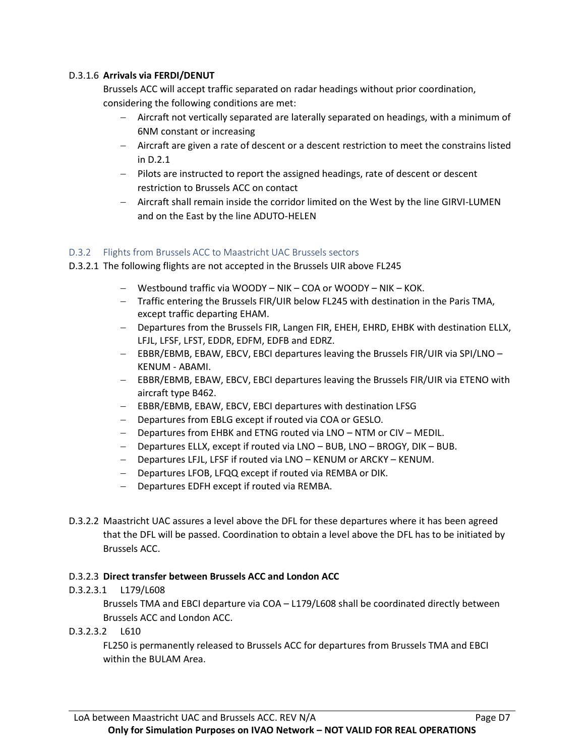## D.3.1.6 **Arrivals via FERDI/DENUT**

Brussels ACC will accept traffic separated on radar headings without prior coordination, considering the following conditions are met:

- − Aircraft not vertically separated are laterally separated on headings, with a minimum of 6NM constant or increasing
- − Aircraft are given a rate of descent or a descent restriction to meet the constrains listed in D.2.1
- − Pilots are instructed to report the assigned headings, rate of descent or descent restriction to Brussels ACC on contact
- − Aircraft shall remain inside the corridor limited on the West by the line GIRVI-LUMEN and on the East by the line ADUTO-HELEN

### D.3.2 Flights from Brussels ACC to Maastricht UAC Brussels sectors

- D.3.2.1 The following flights are not accepted in the Brussels UIR above FL245
	- − Westbound traffic via WOODY NIK COA or WOODY NIK KOK.
	- − Traffic entering the Brussels FIR/UIR below FL245 with destination in the Paris TMA, except traffic departing EHAM.
	- − Departures from the Brussels FIR, Langen FIR, EHEH, EHRD, EHBK with destination ELLX, LFJL, LFSF, LFST, EDDR, EDFM, EDFB and EDRZ.
	- − EBBR/EBMB, EBAW, EBCV, EBCI departures leaving the Brussels FIR/UIR via SPI/LNO KENUM - ABAMI.
	- − EBBR/EBMB, EBAW, EBCV, EBCI departures leaving the Brussels FIR/UIR via ETENO with aircraft type B462.
	- − EBBR/EBMB, EBAW, EBCV, EBCI departures with destination LFSG
	- − Departures from EBLG except if routed via COA or GESLO.
	- − Departures from EHBK and ETNG routed via LNO NTM or CIV MEDIL.
	- − Departures ELLX, except if routed via LNO BUB, LNO BROGY, DIK BUB.
	- − Departures LFJL, LFSF if routed via LNO KENUM or ARCKY KENUM.
	- − Departures LFOB, LFQQ except if routed via REMBA or DIK.
	- − Departures EDFH except if routed via REMBA.
- D.3.2.2 Maastricht UAC assures a level above the DFL for these departures where it has been agreed that the DFL will be passed. Coordination to obtain a level above the DFL has to be initiated by Brussels ACC.

### D.3.2.3 **Direct transfer between Brussels ACC and London ACC**

### D.3.2.3.1 L179/L608

Brussels TMA and EBCI departure via COA – L179/L608 shall be coordinated directly between Brussels ACC and London ACC.

D.3.2.3.2 L610

FL250 is permanently released to Brussels ACC for departures from Brussels TMA and EBCI within the BULAM Area.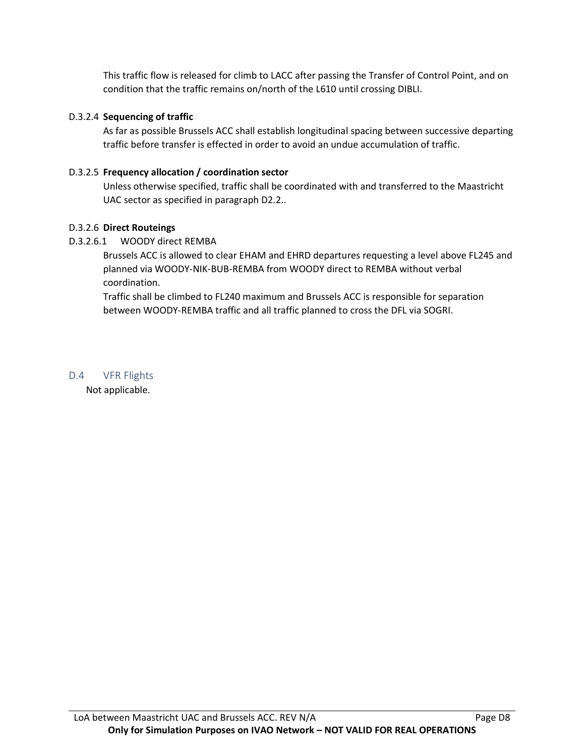This traffic flow is released for climb to LACC after passing the Transfer of Control Point, and on condition that the traffic remains on/north of the L610 until crossing DIBLI.

## D.3.2.4 **Sequencing of traffic**

As far as possible Brussels ACC shall establish longitudinal spacing between successive departing traffic before transfer is effected in order to avoid an undue accumulation of traffic.

# D.3.2.5 **Frequency allocation / coordination sector**

Unless otherwise specified, traffic shall be coordinated with and transferred to the Maastricht UAC sector as specified in paragraph D2.2..

## D.3.2.6 **Direct Routeings**

# D.3.2.6.1 WOODY direct REMBA

Brussels ACC is allowed to clear EHAM and EHRD departures requesting a level above FL245 and planned via WOODY-NIK-BUB-REMBA from WOODY direct to REMBA without verbal coordination.

Traffic shall be climbed to FL240 maximum and Brussels ACC is responsible for separation between WOODY-REMBA traffic and all traffic planned to cross the DFL via SOGRI.

D.4 VFR Flights Not applicable.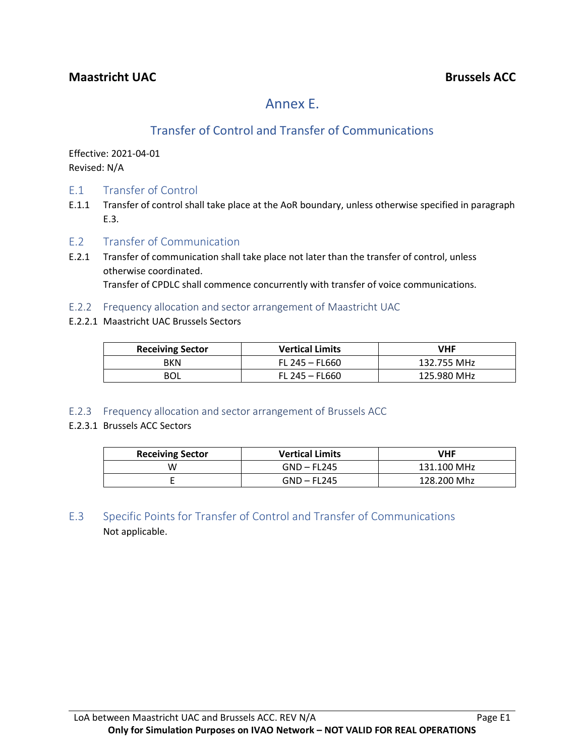# Annex E.

# Transfer of Control and Transfer of Communications

Effective: 2021-04-01 Revised: N/A

- E.1 Transfer of Control
- E.1.1 Transfer of control shall take place at the AoR boundary, unless otherwise specified in paragraph E.3.
- E.2 Transfer of Communication
- E.2.1 Transfer of communication shall take place not later than the transfer of control, unless otherwise coordinated. Transfer of CPDLC shall commence concurrently with transfer of voice communications.
- E.2.2 Frequency allocation and sector arrangement of Maastricht UAC
- E.2.2.1 Maastricht UAC Brussels Sectors

| <b>Receiving Sector</b> | <b>Vertical Limits</b> | VHF         |
|-------------------------|------------------------|-------------|
| <b>BKN</b>              | FL 245 - FL660         | 132.755 MHz |
|                         | $FL 245 - FL 660$      | 125.980 MHz |

E.2.3 Frequency allocation and sector arrangement of Brussels ACC

# E.2.3.1 Brussels ACC Sectors

| <b>Receiving Sector</b> | <b>Vertical Limits</b> | VHF         |
|-------------------------|------------------------|-------------|
| W                       | $GND - FL245$          | 131.100 MHz |
|                         | $GND - FL245$          | 128.200 Mhz |

E.3 Specific Points for Transfer of Control and Transfer of Communications Not applicable.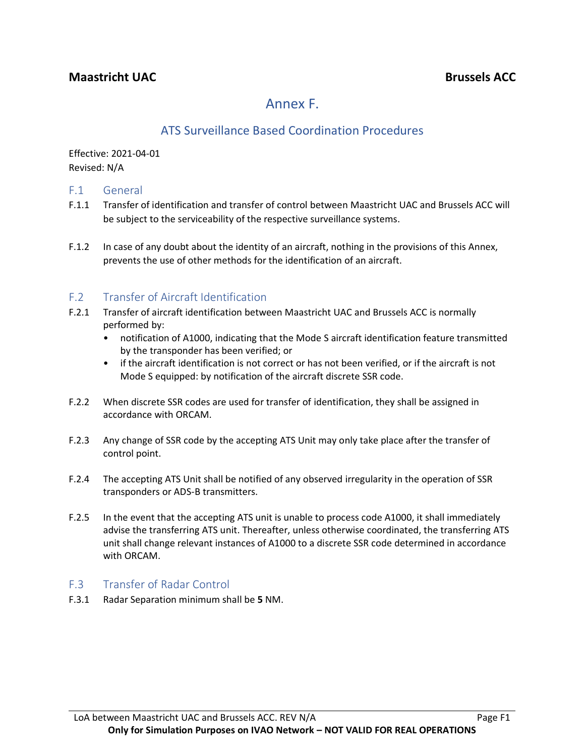# Annex F.

# ATS Surveillance Based Coordination Procedures

Effective: 2021-04-01 Revised: N/A

# F.1 General

- F.1.1 Transfer of identification and transfer of control between Maastricht UAC and Brussels ACC will be subject to the serviceability of the respective surveillance systems.
- F.1.2 In case of any doubt about the identity of an aircraft, nothing in the provisions of this Annex, prevents the use of other methods for the identification of an aircraft.

# F.2 Transfer of Aircraft Identification

- F.2.1 Transfer of aircraft identification between Maastricht UAC and Brussels ACC is normally performed by:
	- notification of A1000, indicating that the Mode S aircraft identification feature transmitted by the transponder has been verified; or
	- if the aircraft identification is not correct or has not been verified, or if the aircraft is not Mode S equipped: by notification of the aircraft discrete SSR code.
- F.2.2 When discrete SSR codes are used for transfer of identification, they shall be assigned in accordance with ORCAM.
- F.2.3 Any change of SSR code by the accepting ATS Unit may only take place after the transfer of control point.
- F.2.4 The accepting ATS Unit shall be notified of any observed irregularity in the operation of SSR transponders or ADS-B transmitters.
- F.2.5 In the event that the accepting ATS unit is unable to process code A1000, it shall immediately advise the transferring ATS unit. Thereafter, unless otherwise coordinated, the transferring ATS unit shall change relevant instances of A1000 to a discrete SSR code determined in accordance with ORCAM.

# F.3 Transfer of Radar Control

F.3.1 Radar Separation minimum shall be **5** NM.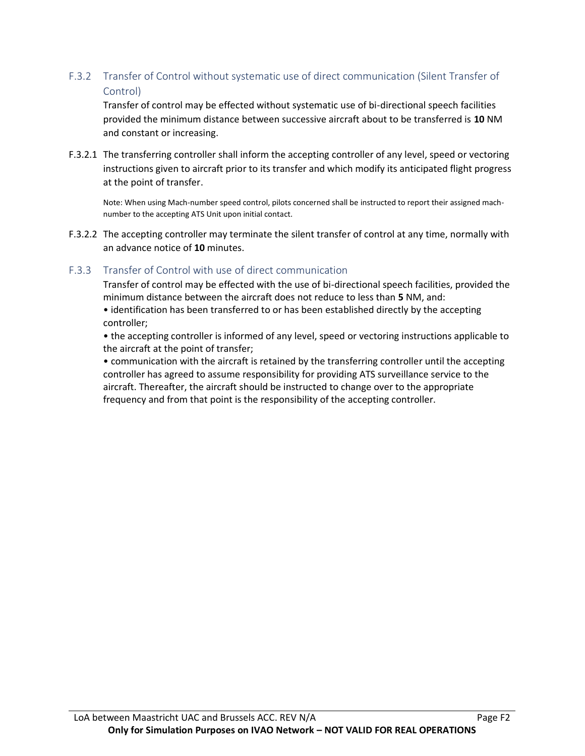# F.3.2 Transfer of Control without systematic use of direct communication (Silent Transfer of Control)

Transfer of control may be effected without systematic use of bi-directional speech facilities provided the minimum distance between successive aircraft about to be transferred is **10** NM and constant or increasing.

F.3.2.1 The transferring controller shall inform the accepting controller of any level, speed or vectoring instructions given to aircraft prior to its transfer and which modify its anticipated flight progress at the point of transfer.

Note: When using Mach-number speed control, pilots concerned shall be instructed to report their assigned machnumber to the accepting ATS Unit upon initial contact.

F.3.2.2 The accepting controller may terminate the silent transfer of control at any time, normally with an advance notice of **10** minutes.

# F.3.3 Transfer of Control with use of direct communication

Transfer of control may be effected with the use of bi-directional speech facilities, provided the minimum distance between the aircraft does not reduce to less than **5** NM, and:

• identification has been transferred to or has been established directly by the accepting controller;

• the accepting controller is informed of any level, speed or vectoring instructions applicable to the aircraft at the point of transfer;

• communication with the aircraft is retained by the transferring controller until the accepting controller has agreed to assume responsibility for providing ATS surveillance service to the aircraft. Thereafter, the aircraft should be instructed to change over to the appropriate frequency and from that point is the responsibility of the accepting controller.